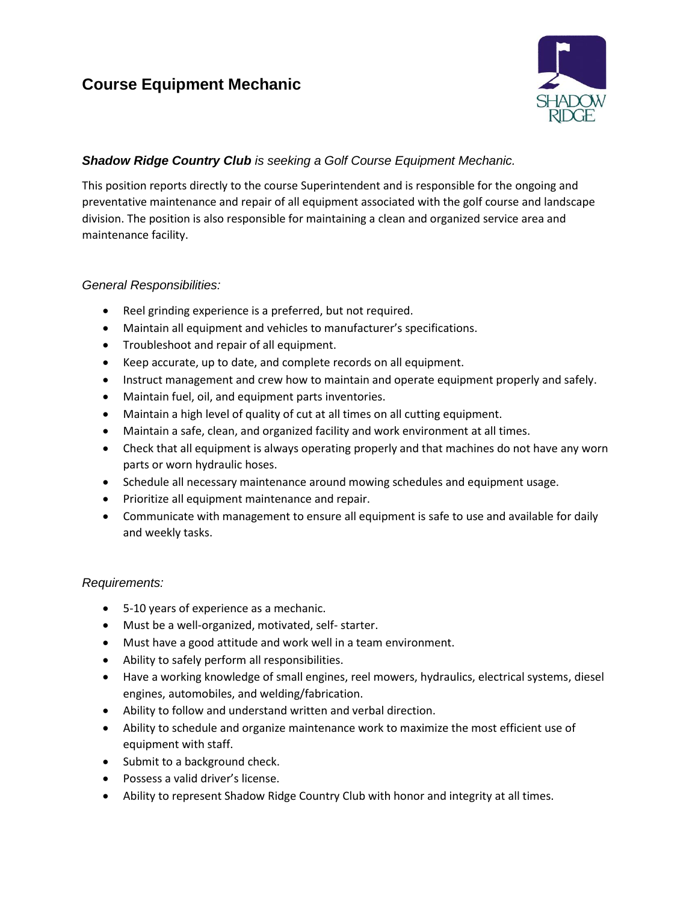# **Course Equipment Mechanic**



## *Shadow Ridge Country Club is seeking a Golf Course Equipment Mechanic.*

This position reports directly to the course Superintendent and is responsible for the ongoing and preventative maintenance and repair of all equipment associated with the golf course and landscape division. The position is also responsible for maintaining a clean and organized service area and maintenance facility.

#### *General Responsibilities:*

- Reel grinding experience is a preferred, but not required.
- Maintain all equipment and vehicles to manufacturer's specifications.
- Troubleshoot and repair of all equipment.
- Keep accurate, up to date, and complete records on all equipment.
- Instruct management and crew how to maintain and operate equipment properly and safely.
- Maintain fuel, oil, and equipment parts inventories.
- Maintain a high level of quality of cut at all times on all cutting equipment.
- Maintain a safe, clean, and organized facility and work environment at all times.
- Check that all equipment is always operating properly and that machines do not have any worn parts or worn hydraulic hoses.
- Schedule all necessary maintenance around mowing schedules and equipment usage.
- Prioritize all equipment maintenance and repair.
- Communicate with management to ensure all equipment is safe to use and available for daily and weekly tasks.

#### *Requirements:*

- 5-10 years of experience as a mechanic.
- Must be a well-organized, motivated, self- starter.
- Must have a good attitude and work well in a team environment.
- Ability to safely perform all responsibilities.
- Have a working knowledge of small engines, reel mowers, hydraulics, electrical systems, diesel engines, automobiles, and welding/fabrication.
- Ability to follow and understand written and verbal direction.
- Ability to schedule and organize maintenance work to maximize the most efficient use of equipment with staff.
- Submit to a background check.
- Possess a valid driver's license.
- Ability to represent Shadow Ridge Country Club with honor and integrity at all times.